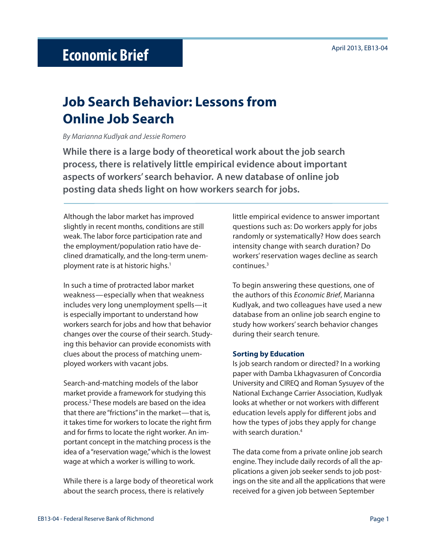# **Job Search Behavior: Lessons from Online Job Search**

### By Marianna Kudlyak and Jessie Romero

**While there is a large body of theoretical work about the job search process, there is relatively little empirical evidence about important aspects of workers' search behavior. A new database of online job posting data sheds light on how workers search for jobs.** 

Although the labor market has improved slightly in recent months, conditions are still weak. The labor force participation rate and the employment/population ratio have declined dramatically, and the long-term unemployment rate is at historic highs.<sup>1</sup>

In such a time of protracted labor market weakness—especially when that weakness includes very long unemployment spells—it is especially important to understand how workers search for jobs and how that behavior changes over the course of their search. Studying this behavior can provide economists with clues about the process of matching unemployed workers with vacant jobs.

Search-and-matching models of the labor market provide a framework for studying this process.2 These models are based on the idea that there are "frictions" in the market—that is, it takes time for workers to locate the right firm and for firms to locate the right worker. An important concept in the matching process is the idea of a "reservation wage," which is the lowest wage at which a worker is willing to work.

While there is a large body of theoretical work about the search process, there is relatively

little empirical evidence to answer important questions such as: Do workers apply for jobs randomly or systematically? How does search intensity change with search duration? Do workers' reservation wages decline as search continues.3

To begin answering these questions, one of the authors of this Economic Brief, Marianna Kudlyak, and two colleagues have used a new database from an online job search engine to study how workers' search behavior changes during their search tenure.

### **Sorting by Education**

Is job search random or directed? In a working paper with Damba Lkhagvasuren of Concordia University and CIREQ and Roman Sysuyev of the National Exchange Carrier Association, Kudlyak looks at whether or not workers with different education levels apply for different jobs and how the types of jobs they apply for change with search duration.4

The data come from a private online job search engine. They include daily records of all the applications a given job seeker sends to job postings on the site and all the applications that were received for a given job between September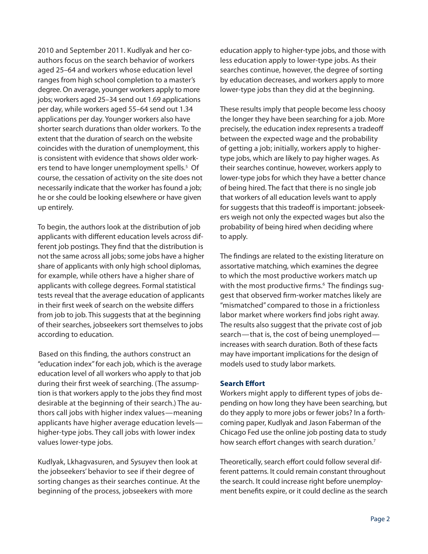2010 and September 2011. Kudlyak and her coauthors focus on the search behavior of workers aged 25–64 and workers whose education level ranges from high school completion to a master's degree. On average, younger workers apply to more jobs; workers aged 25–34 send out 1.69 applications per day, while workers aged 55–64 send out 1.34 applications per day. Younger workers also have shorter search durations than older workers. To the extent that the duration of search on the website coincides with the duration of unemployment, this is consistent with evidence that shows older workers tend to have longer unemployment spells.<sup>5</sup> Of course, the cessation of activity on the site does not necessarily indicate that the worker has found a job; he or she could be looking elsewhere or have given up entirely.

To begin, the authors look at the distribution of job applicants with different education levels across different job postings. They find that the distribution is not the same across all jobs; some jobs have a higher share of applicants with only high school diplomas, for example, while others have a higher share of applicants with college degrees. Formal statistical tests reveal that the average education of applicants in their first week of search on the website differs from job to job. This suggests that at the beginning of their searches, jobseekers sort themselves to jobs according to education.

Based on this finding, the authors construct an "education index" for each job, which is the average education level of all workers who apply to that job during their first week of searching. (The assumption is that workers apply to the jobs they find most desirable at the beginning of their search.) The authors call jobs with higher index values—meaning applicants have higher average education levels higher-type jobs. They call jobs with lower index values lower-type jobs.

Kudlyak, Lkhagvasuren, and Sysuyev then look at the jobseekers' behavior to see if their degree of sorting changes as their searches continue. At the beginning of the process, jobseekers with more

education apply to higher-type jobs, and those with less education apply to lower-type jobs. As their searches continue, however, the degree of sorting by education decreases, and workers apply to more lower-type jobs than they did at the beginning.

These results imply that people become less choosy the longer they have been searching for a job. More precisely, the education index represents a tradeoff between the expected wage and the probability of getting a job; initially, workers apply to highertype jobs, which are likely to pay higher wages. As their searches continue, however, workers apply to lower-type jobs for which they have a better chance of being hired. The fact that there is no single job that workers of all education levels want to apply for suggests that this tradeoff is important: jobseekers weigh not only the expected wages but also the probability of being hired when deciding where to apply.

The findings are related to the existing literature on assortative matching, which examines the degree to which the most productive workers match up with the most productive firms.<sup>6</sup> The findings suggest that observed firm-worker matches likely are "mismatched" compared to those in a frictionless labor market where workers find jobs right away. The results also suggest that the private cost of job search—that is, the cost of being unemployed increases with search duration. Both of these facts may have important implications for the design of models used to study labor markets.

# **Search Effort**

Workers might apply to different types of jobs depending on how long they have been searching, but do they apply to more jobs or fewer jobs? In a forthcoming paper, Kudlyak and Jason Faberman of the Chicago Fed use the online job posting data to study how search effort changes with search duration.<sup>7</sup>

Theoretically, search effort could follow several different patterns. It could remain constant throughout the search. It could increase right before unemployment benefits expire, or it could decline as the search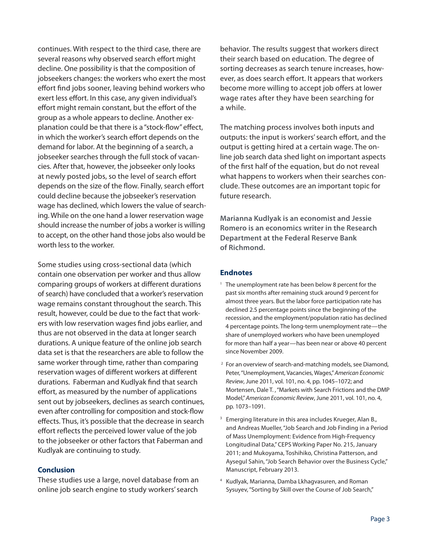continues. With respect to the third case, there are several reasons why observed search effort might decline. One possibility is that the composition of jobseekers changes: the workers who exert the most effort find jobs sooner, leaving behind workers who exert less effort. In this case, any given individual's effort might remain constant, but the effort of the group as a whole appears to decline. Another explanation could be that there is a "stock-flow" effect, in which the worker's search effort depends on the demand for labor. At the beginning of a search, a jobseeker searches through the full stock of vacancies. After that, however, the jobseeker only looks at newly posted jobs, so the level of search effort depends on the size of the flow. Finally, search effort could decline because the jobseeker's reservation wage has declined, which lowers the value of searching. While on the one hand a lower reservation wage should increase the number of jobs a worker is willing to accept, on the other hand those jobs also would be worth less to the worker.

Some studies using cross-sectional data (which contain one observation per worker and thus allow comparing groups of workers at different durations of search) have concluded that a worker's reservation wage remains constant throughout the search. This result, however, could be due to the fact that workers with low reservation wages find jobs earlier, and thus are not observed in the data at longer search durations. A unique feature of the online job search data set is that the researchers are able to follow the same worker through time, rather than comparing reservation wages of different workers at different durations. Faberman and Kudlyak find that search effort, as measured by the number of applications sent out by jobseekers, declines as search continues, even after controlling for composition and stock-flow effects. Thus, it's possible that the decrease in search effort reflects the perceived lower value of the job to the jobseeker or other factors that Faberman and Kudlyak are continuing to study.

## **Conclusion**

These studies use a large, novel database from an online job search engine to study workers' search behavior. The results suggest that workers direct their search based on education. The degree of sorting decreases as search tenure increases, however, as does search effort. It appears that workers become more willing to accept job offers at lower wage rates after they have been searching for a while.

The matching process involves both inputs and outputs: the input is workers' search effort, and the output is getting hired at a certain wage. The online job search data shed light on important aspects of the first half of the equation, but do not reveal what happens to workers when their searches conclude. These outcomes are an important topic for future research.

**Marianna Kudlyak is an economist and Jessie Romero is an economics writer in the Research Department at the Federal Reserve Bank of Richmond.**

## **Endnotes**

- $1$  The unemployment rate has been below 8 percent for the past six months after remaining stuck around 9 percent for almost three years. But the labor force participation rate has declined 2.5 percentage points since the beginning of the recession, and the employment/population ratio has declined 4 percentage points. The long-term unemployment rate—the share of unemployed workers who have been unemployed for more than half a year—has been near or above 40 percent since November 2009.
- 2 For an overview of search-and-matching models, see Diamond, Peter, "Unemployment, Vacancies, Wages," American Economic Review, June 2011, vol. 101, no. 4, pp. 1045–1072; and Mortensen, Dale T. , "Markets with Search Frictions and the DMP Model," American Economic Review, June 2011, vol. 101, no. 4, pp. 1073–1091.
- <sup>3</sup> Emerging literature in this area includes Krueger, Alan B., and Andreas Mueller, "Job Search and Job Finding in a Period of Mass Unemployment: Evidence from High-Frequency Longitudinal Data," CEPS Working Paper No. 215, January 2011; and Mukoyama, Toshihiko, Christina Patterson, and Aysegul Sahin, "Job Search Behavior over the Business Cycle," Manuscript, February 2013.
- 4 Kudlyak, Marianna, Damba Lkhagvasuren, and Roman Sysuyev, "Sorting by Skill over the Course of Job Search,"